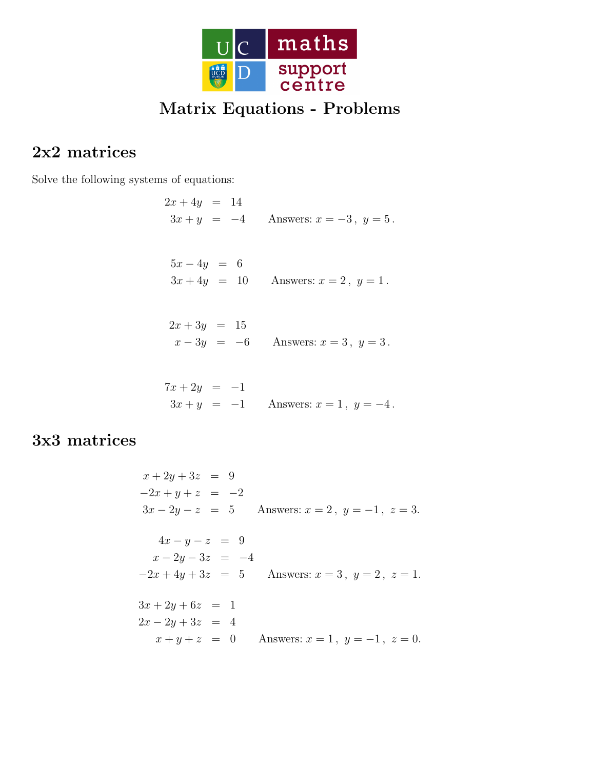

# Matrix Equations - Problems

### 2x2 matrices

Solve the following systems of equations:

- $2x + 4y = 14$  $3x + y = -4$  Answers:  $x = -3$ ,  $y = 5$ .
	- $5x 4y = 6$  $3x + 4y = 10$  Answers:  $x = 2, y = 1$ .
- $2x + 3y = 15$  $x - 3y = -6$  Answers:  $x = 3, y = 3$ .

$$
7x + 2y = -1
$$
  
3x + y = -1 Answers: x = 1, y = -4.

# 3x3 matrices

$$
x + 2y + 3z = 9
$$
  
\n
$$
-2x + y + z = -2
$$
  
\n
$$
3x - 2y - z = 5
$$
 Answers:  $x = 2$ ,  $y = -1$ ,  $z = 3$ .  
\n
$$
4x - y - z = 9
$$
  
\n
$$
x - 2y - 3z = -4
$$
  
\n
$$
-2x + 4y + 3z = 5
$$
 Answers:  $x = 3$ ,  $y = 2$ ,  $z = 1$ .  
\n
$$
3x + 2y + 6z = 1
$$
  
\n
$$
2x - 2y + 3z = 4
$$
  
\n
$$
x + y + z = 0
$$
 Answers:  $x = 1$ ,  $y = -1$ ,  $z = 0$ .